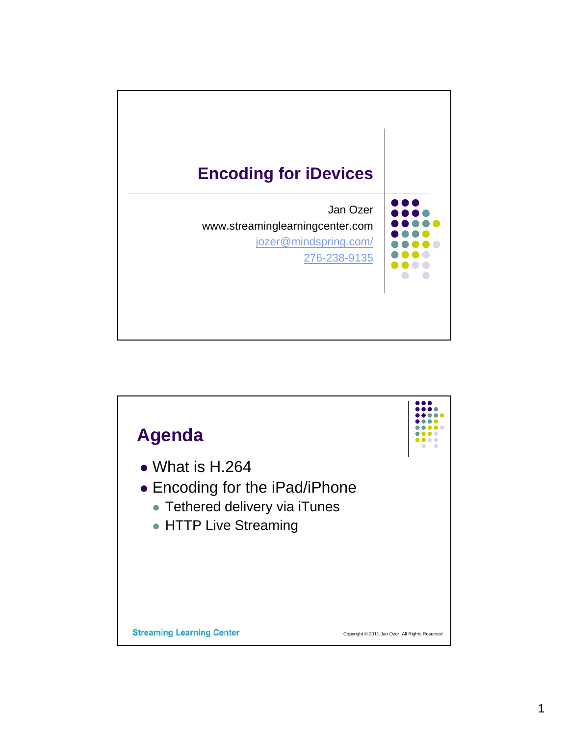

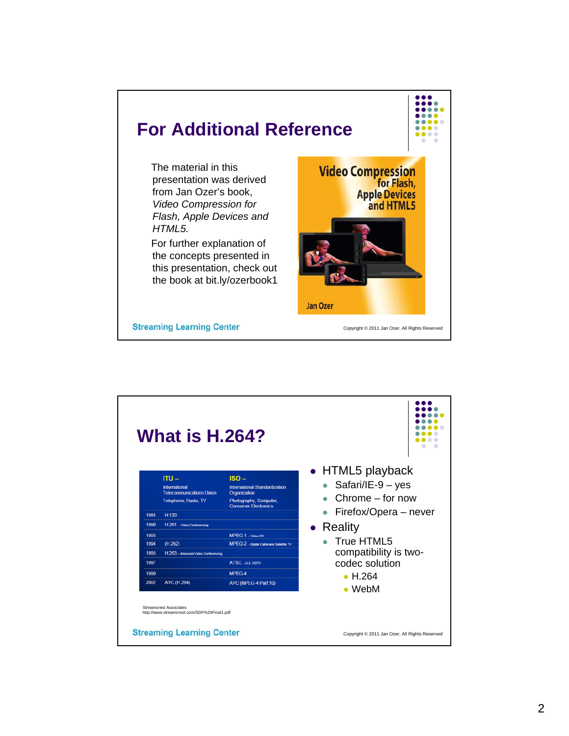

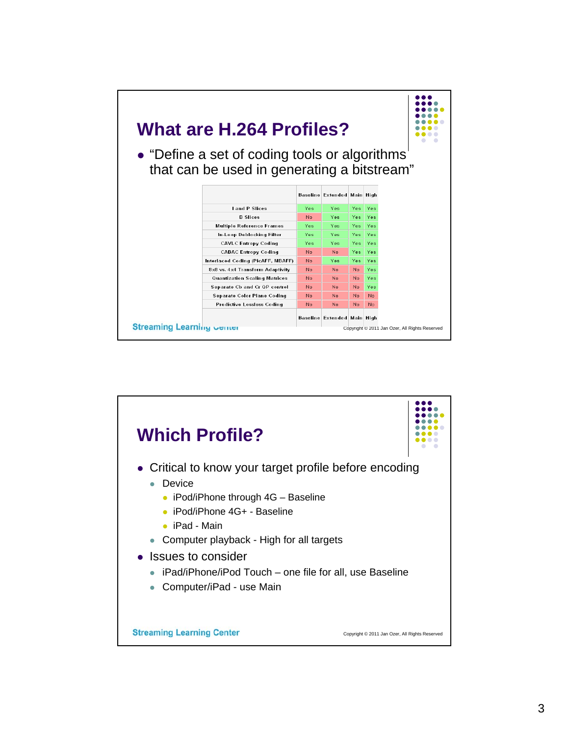

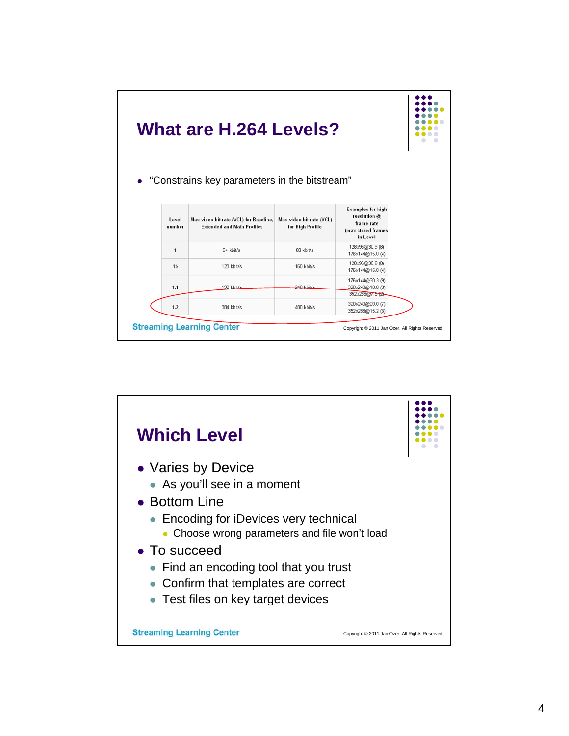|                 | <b>What are H.264 Levels?</b><br>• "Constrains key parameters in the bitstream" |                                              |                                                         |  |
|-----------------|---------------------------------------------------------------------------------|----------------------------------------------|---------------------------------------------------------|--|
| Level<br>number | Max video bit rate (VCL) for Baseline,<br><b>Extended and Main Profiles</b>     | Max video bit rate (VCL)<br>for High Profile | <b>Examples for high</b><br>resolution @<br>frame rate  |  |
|                 |                                                                                 |                                              | (max stored frames)<br>in Level                         |  |
| 1               | 64 kbit/s                                                                       | 80 kbit/s                                    | 128x96@30.9 (8)<br>176x144@15.0(4)                      |  |
| 1 <sub>b</sub>  | 128 kbit/s                                                                      | 160 kbit/s                                   | 128x96@30.9 (8)<br>176x144@15.0(4)                      |  |
| 1.1             | 192 kbit/s                                                                      | 240 khit/s                                   | 176x144@30.3 (9)<br>320x240@10.0 (3)<br>352x288@7.5 (2) |  |

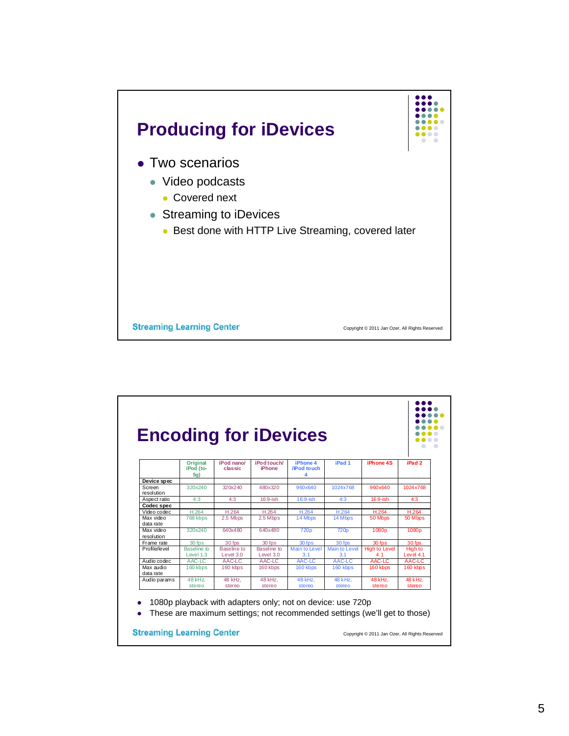

| <b>Original</b>          | iPod nano/               | iPod touch/                | iPhone 4                    | iPad 1                      | iPhone 4S                    | iPad <sub>2</sub>    |
|--------------------------|--------------------------|----------------------------|-----------------------------|-----------------------------|------------------------------|----------------------|
|                          |                          |                            |                             |                             |                              |                      |
|                          |                          |                            |                             |                             |                              |                      |
| 320x240                  | 320x240                  | 480x320                    | 960x640                     | 1024x768                    | 960x640                      | 1024x768             |
| 4:3                      | 4:3                      | $16:9$ -ish                | $16:9$ -ish                 | 4:3                         | 16:9-ish                     | 4:3                  |
|                          |                          |                            |                             |                             |                              |                      |
| H.264                    | H.264                    | H.264                      | H.264                       | H.264                       | H.264                        | H.264                |
| 768 kbps                 | 2.5 Mbps                 | 2.5 Mbps                   | 14 Mbps                     | 14 Mbps                     | 50 Mbps                      | 50 Mbps              |
| 320x240                  | 640x480                  | 640x480                    | 720 <sub>p</sub>            | 720p                        | 1080p                        | 1080p                |
| 30 fps                   | 30 fps                   | 30 fps                     | 30 fps                      | 30 fps                      | 30 fps                       | 30 fps               |
| Baseline to<br>Level 1.3 | Baseline to<br>Level 3.0 | Baseline to<br>Level $3.0$ | <b>Main to Level</b><br>3.1 | <b>Main to Level</b><br>3.1 | <b>High to Level</b><br>4.1  | High to<br>Level 4.1 |
| AAC-LC                   | AAC-LC                   | AAC-LC                     | AAC-LC                      | AAC-LC                      | AAC-LC                       | AAC-LC               |
| 160 kbps                 | 160 kbps                 | 160 kbps                   | 160 kbps                    | 160 kbps                    | 160 kbps                     | 160 kbps             |
| 48 kHz.<br>stereo        | 48 kHz.<br>stereo        | 48 kHz.<br>stereo          | 48 kHz.<br>stereo           | 48 kHz.<br>stereo           | 48 kHz.<br>stereo            | 48 kHz.<br>stereo    |
|                          | iPod (to-<br>5a)         | classic                    | iPhone                      | /iPod to uch<br>4           | <b>Encoding for iDevices</b> |                      |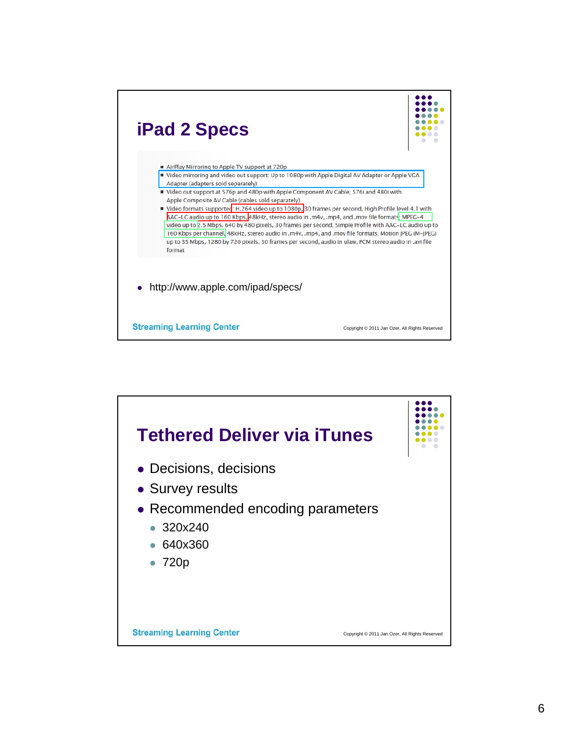

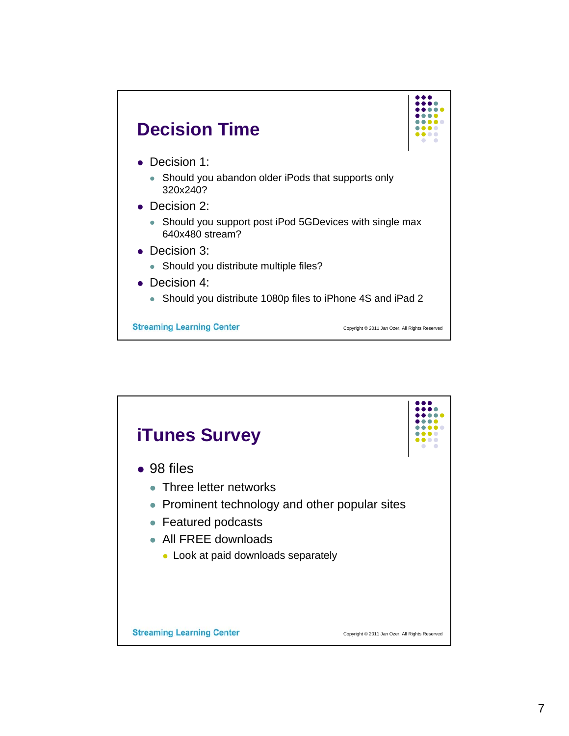

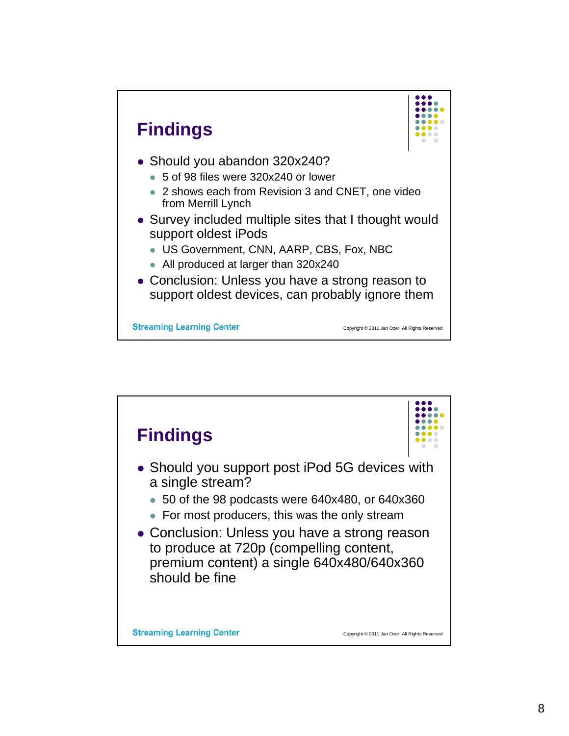

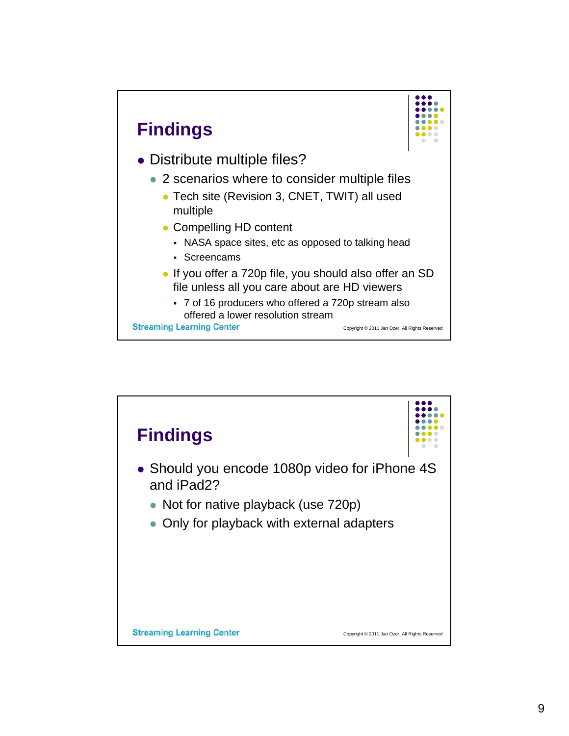

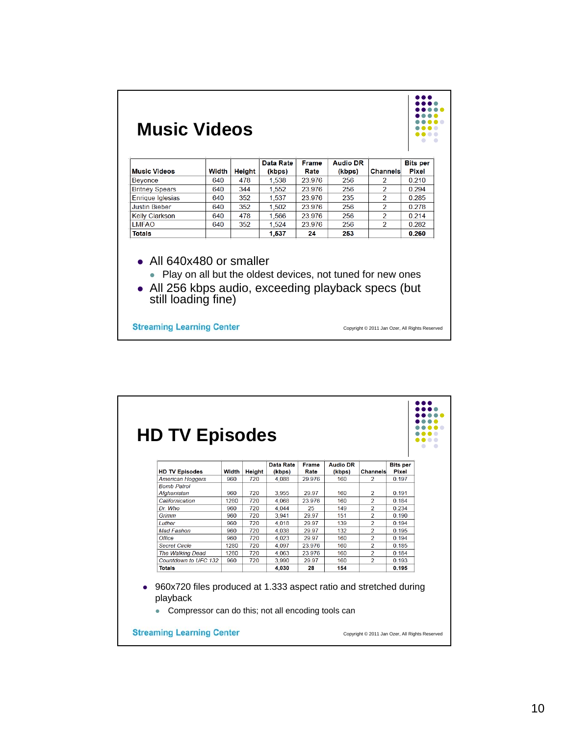

|                                   |       |               | Data Rate      | Frame  | <b>Audio DR</b> |                | <b>Bits per</b> |
|-----------------------------------|-------|---------------|----------------|--------|-----------------|----------------|-----------------|
| <b>HD TV Episodes</b>             | Width | <b>Height</b> | (kbps)         | Rate   | (kbps)          | Channels       | <b>Pixel</b>    |
| <b>American Hoggers</b>           | 960   | 720           | 4.088          | 29.976 | 160             | $\overline{2}$ | 0.197           |
| <b>Bomb Patrol</b><br>Afghanistan | 960   | 720           | 3,955          | 29.97  | 160             | 2              | 0.191           |
| Californication                   | 1280  | 720           | 4.068          | 23.976 | 160             | $\overline{a}$ | 0.184           |
| Dr Who                            | 960   | 720           |                | 25     | 149             | $\mathcal{P}$  | 0 2 3 4         |
| Grimm                             | 960   | 720           | 4.044<br>3.941 | 29.97  | 151             | $\overline{2}$ | 0.190           |
| Luther                            | 960   | 720           | 4.018          | 29.97  | 139             | $\overline{2}$ | 0.194           |
| <b>Mad Fashon</b>                 | 960   | 720           | 4.038          | 29.97  | 132             | $\overline{2}$ | 0.195           |
| Office                            | 960   | 720           | 4,023          | 29.97  | 160             | $\overline{a}$ | 0.194           |
| <b>Secret Circle</b>              | 1280  | 720           | 4.097          | 23 976 | 160             | $\mathcal{P}$  | 0 185           |
| The Walking Dead                  | 1280  | 720           | 4.063          | 23.976 | 160             | $\overline{2}$ | 0.184           |
| Countdown to UFC 132              | 960   | 720           | 3.990          | 29.97  | 160             | $\overline{2}$ | 0.193           |
| <b>Totals</b>                     |       |               |                |        | 154             |                |                 |
|                                   |       |               | 4.030          | 28     |                 |                | 0.195           |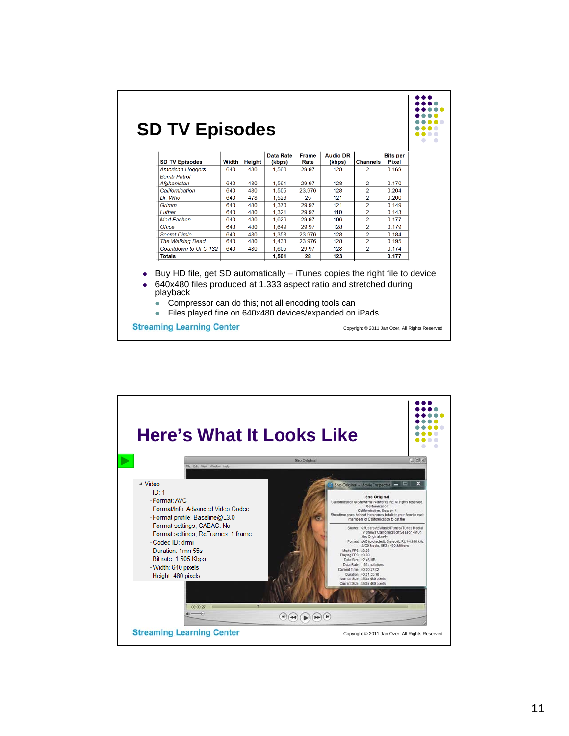| <b>SD TV Episodes</b>   | Width | Height | Data Rate<br>(kbps) | Frame<br>Rate | <b>Audio DR</b><br>(kbps) | Channels       | <b>Bits per</b><br><b>Pixel</b> |
|-------------------------|-------|--------|---------------------|---------------|---------------------------|----------------|---------------------------------|
| <b>American Hoggers</b> | 640   | 480    | 1.560               | 29.97         | 128                       | $\overline{2}$ | 0.169                           |
| <b>Bomb Patrol</b>      |       |        |                     |               |                           |                |                                 |
| Afghanistan             | 640   | 480    | 1,561               | 29.97         | 128                       | 2              | 0.170                           |
| Californication         | 640   | 480    | 1,505               | 23.976        | 128                       | $\overline{a}$ | 0.204                           |
| Dr. Who                 | 640   | 478    | 1.526               | 25            | 121                       | $\overline{a}$ | 0.200                           |
| Grimm                   | 640   | 480    | 1.370               | 29.97         | 121                       | $\overline{a}$ | 0.149                           |
| <b>Luther</b>           | 640   | 480    | 1,321               | 29.97         | 110                       | $\overline{a}$ | 0.143                           |
| <b>Mad Fashon</b>       | 640   | 480    | 1.626               | 29.97         | 106                       | $\overline{2}$ | 0.177                           |
| Office                  | 640   | 480    | 1.649               | 29.97         | 128                       | $\overline{a}$ | 0.179                           |
| <b>Secret Circle</b>    | 640   | 480    | 1.358               | 23.976        | 128                       | $\overline{2}$ | 0.184                           |
| <b>The Walking Dead</b> | 640   | 480    | 1.433               | 23.976        | 128                       | $\overline{a}$ | 0.195                           |
| Countdown to UFC 132    | 640   | 480    | 1.605               | 29.97         | 128                       | $\mathcal{P}$  | 0.174                           |
| <b>Totals</b>           |       |        | 1.501               | 28            | 123                       |                | 0.177                           |

 $\vert$  :::.

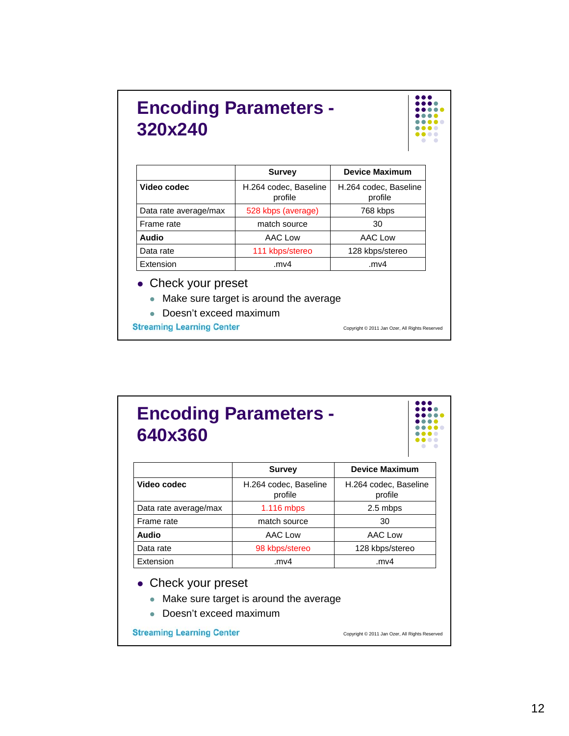## **Encoding Parameters - 320x240**



|                       | <b>Survey</b>                    | <b>Device Maximum</b>            |
|-----------------------|----------------------------------|----------------------------------|
| Video codec           | H.264 codec, Baseline<br>profile | H.264 codec, Baseline<br>profile |
| Data rate average/max | 528 kbps (average)               | 768 kbps                         |
| Frame rate            | match source                     | 30                               |
| Audio                 | AAC Low                          | AAC Low                          |
| Data rate             | 111 kbps/stereo                  | 128 kbps/stereo                  |
| Extension             | .mv4                             | .mv4                             |

- Check your preset
	- Make sure target is around the average
	- Doesn't exceed maximum

**Streaming Learning Center** 

Copyright © 2011 Jan Ozer, All Rights Reserved

## **Encoding Parameters - 640x360**

|                       | <b>Survey</b>                    | <b>Device Maximum</b>            |
|-----------------------|----------------------------------|----------------------------------|
| Video codec           | H.264 codec, Baseline<br>profile | H.264 codec, Baseline<br>profile |
| Data rate average/max | 1.116 mbps                       | 2.5 mbps                         |
| Frame rate            | match source                     | 30                               |
| Audio                 | AAC Low                          | AAC Low                          |
| Data rate             | 98 kbps/stereo                   | 128 kbps/stereo                  |
| Extension             | .mv4                             | mv4.                             |

- Check your preset
	- Make sure target is around the average
	- Doesn't exceed maximum

**Streaming Learning Center** 

Copyright © 2011 Jan Ozer, All Rights Reserved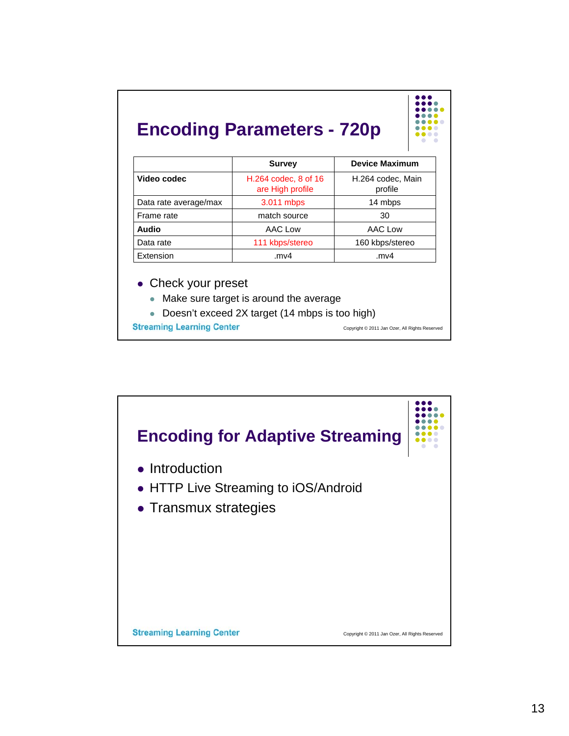## **Encoding Parameters - 720p**

| . |
|---|
|   |
|   |
|   |
| . |
| . |
| . |
|   |

|                       | <b>Survey</b>                            | <b>Device Maximum</b>        |
|-----------------------|------------------------------------------|------------------------------|
| Video codec           | H.264 codec, 8 of 16<br>are High profile | H.264 codec, Main<br>profile |
| Data rate average/max | 3.011 mbps                               | 14 mbps                      |
| Frame rate            | match source                             | 30                           |
| <b>Audio</b>          | AAC Low                                  | AAC Low                      |
| Data rate             | 111 kbps/stereo                          | 160 kbps/stereo              |
| Extension             | .mv $4$                                  | .mv4                         |

• Check your preset

- Make sure target is around the average
- Doesn't exceed 2X target (14 mbps is too high)

**Streaming Learning Center** 

Copyright © 2011 Jan Ozer, All Rights Reserved

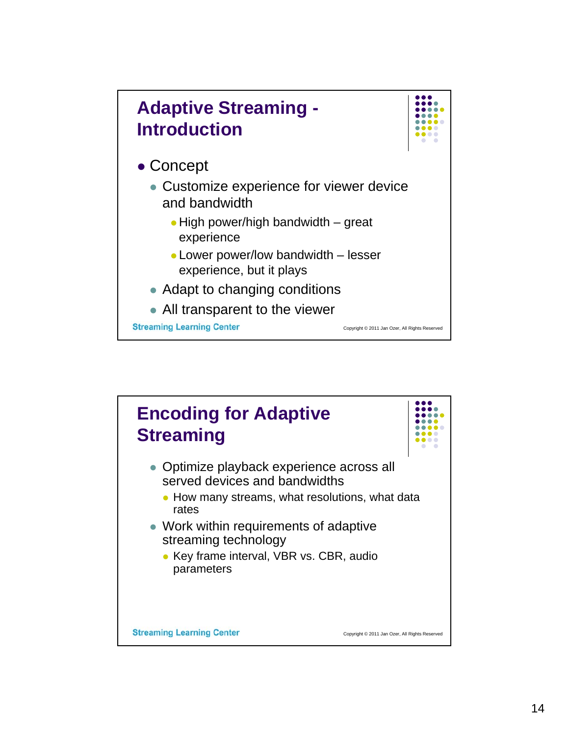

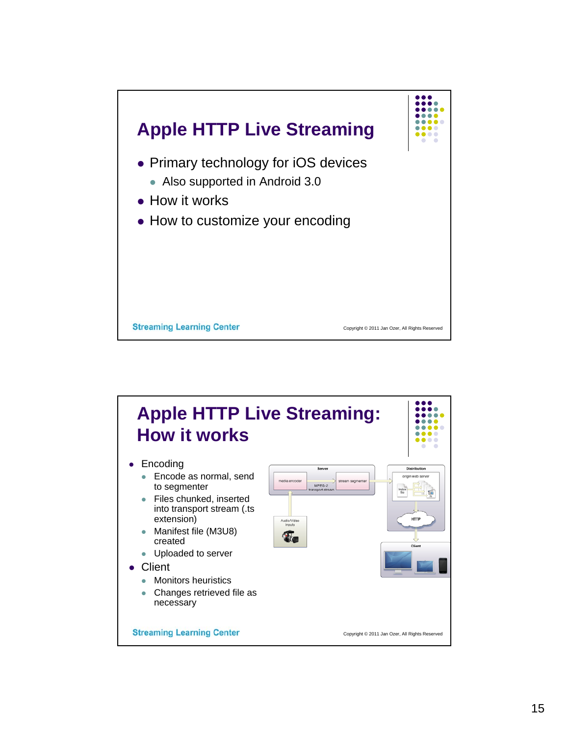

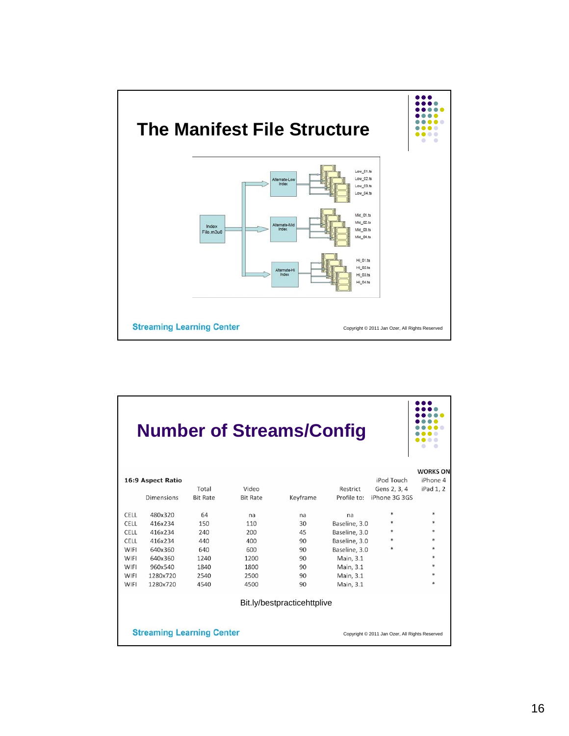

|             |                                  |                 | <b>Number of Streams/Config</b> |                             |               |                                                |                 |
|-------------|----------------------------------|-----------------|---------------------------------|-----------------------------|---------------|------------------------------------------------|-----------------|
|             |                                  |                 |                                 |                             |               |                                                | <b>WORKS ON</b> |
|             | 16:9 Aspect Ratio                |                 |                                 |                             |               | iPod Touch                                     | iPhone 4        |
|             |                                  | Total           | Video                           |                             | Restrict      | Gens 2, 3, 4                                   | iPad 1, 2       |
|             | <b>Dimensions</b>                | <b>Bit Rate</b> | <b>Bit Rate</b>                 | Keyframe                    | Profile to:   | iPhone 3G 3GS                                  |                 |
|             |                                  |                 |                                 |                             |               |                                                |                 |
| CELL        | 480x320                          | 64              | na                              | na                          | na            | *                                              | $*$             |
| CELL        | 416x234                          | 150             | 110                             | 30                          | Baseline, 3.0 | *                                              | *               |
| <b>CELL</b> | 416x234                          | 240             | 200                             | 45                          | Baseline, 3.0 | *                                              | $*$             |
| <b>CELL</b> | 416x234                          | 440             | 400                             | 90                          | Baseline, 3.0 | $\ast$                                         | $\ast$          |
| WIFI        | 640x360                          | 640             | 600                             | 90                          | Baseline, 3.0 | $\ast$                                         | *               |
| WIFI        | 640x360                          | 1240            | 1200                            | 90                          | Main, 3.1     |                                                | $\ast$          |
| WIFI        | 960x540                          | 1840            | 1800                            | 90                          | Main, 3.1     |                                                | $*$             |
| WIFI        | 1280x720                         | 2540            | 2500                            | 90                          | Main, 3.1     |                                                | $\ast$          |
| WIFI        | 1280x720                         | 4540            | 4500                            | 90                          | Main, 3.1     |                                                | $\ast$          |
|             |                                  |                 |                                 | Bit.ly/bestpracticehttplive |               |                                                |                 |
|             | <b>Streaming Learning Center</b> |                 |                                 |                             |               | Copyright © 2011 Jan Ozer, All Rights Reserved |                 |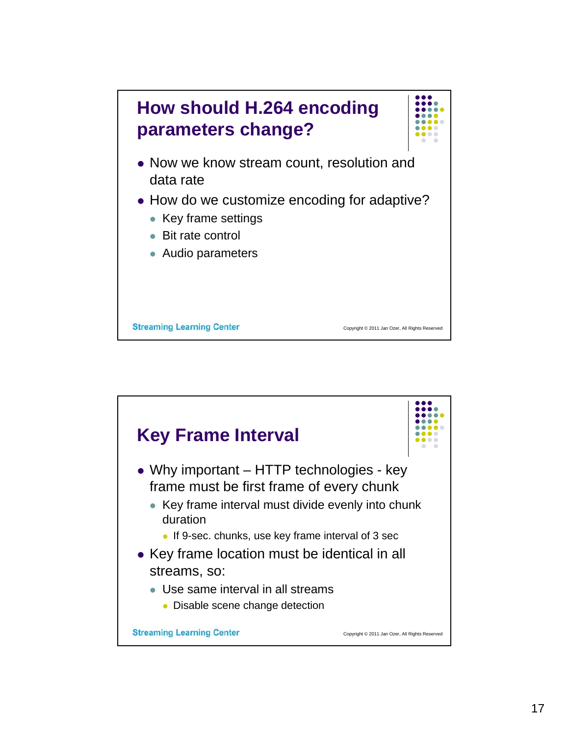

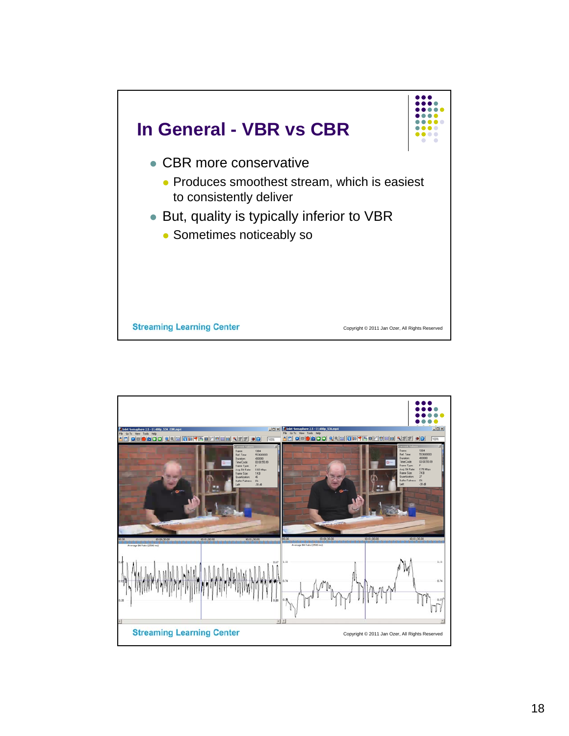

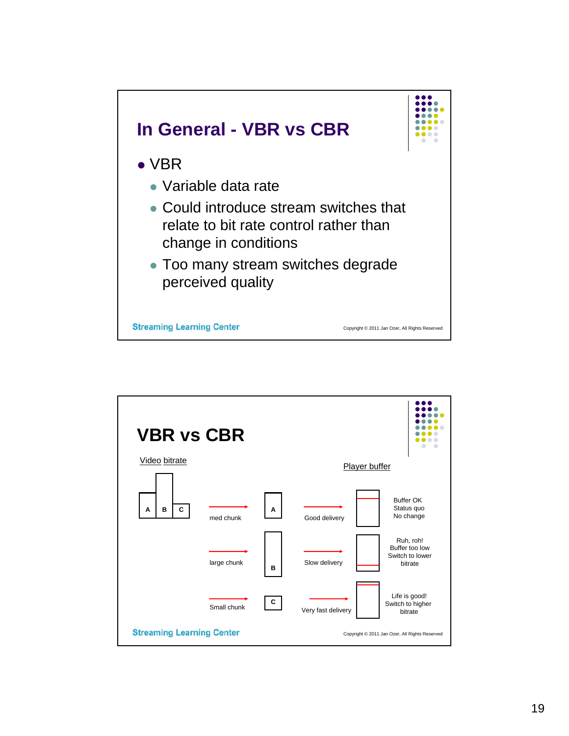

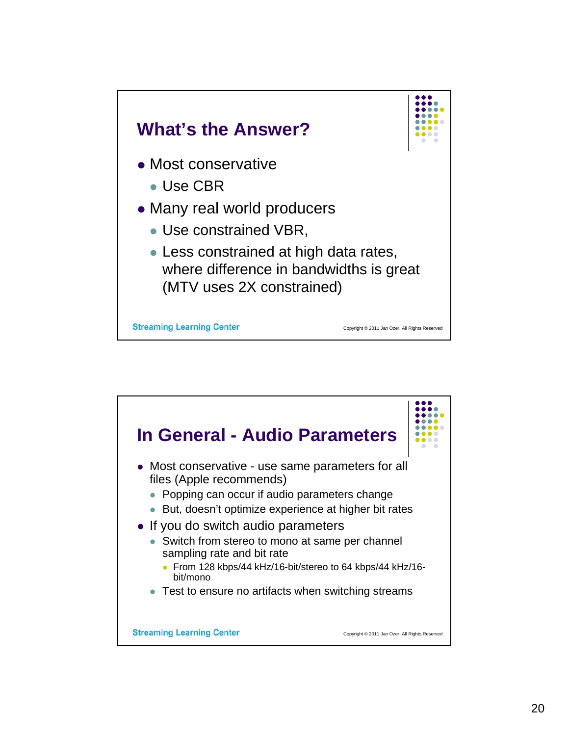

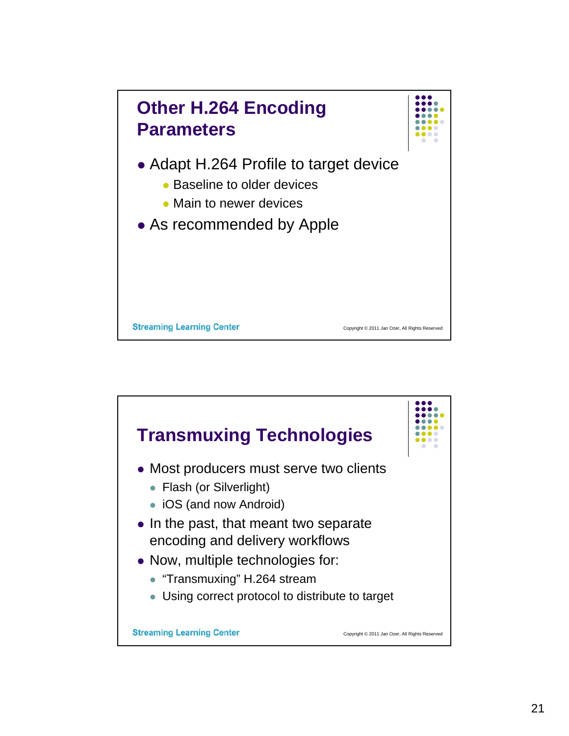

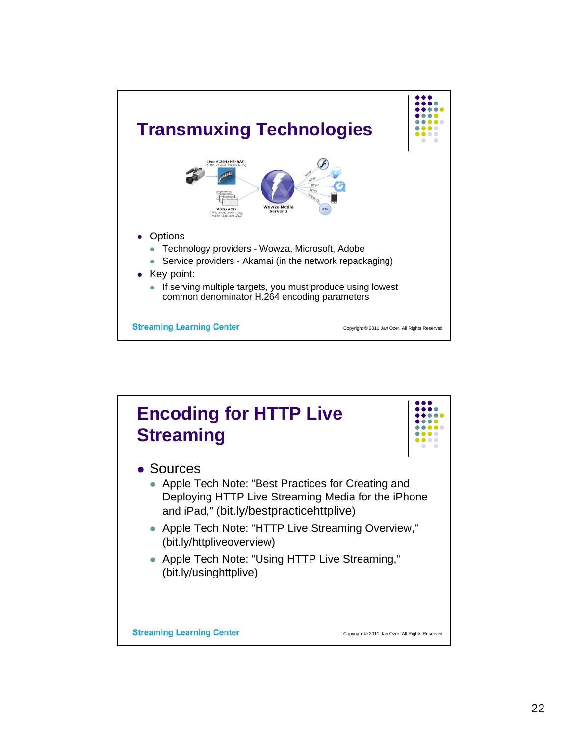

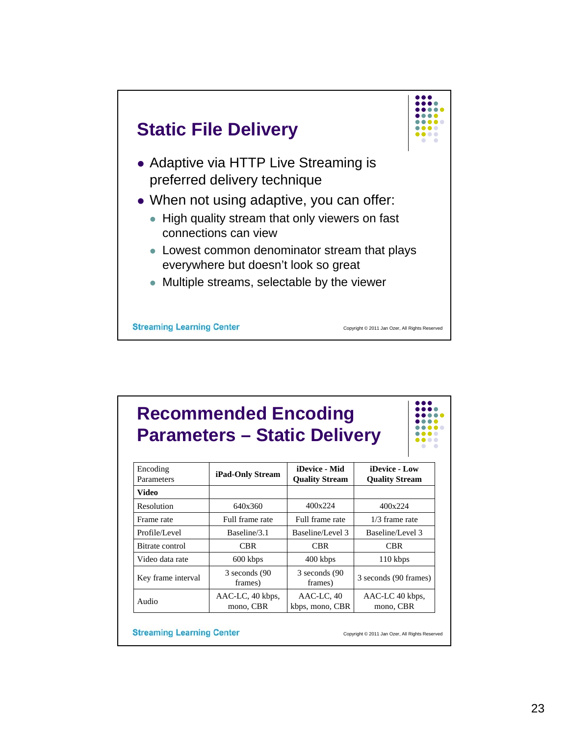

## **Recommended Encoding Parameters – Static Delivery**

| Encoding<br>Parameters | iPad-Only Stream              | iDevice - Mid<br><b>Quality Stream</b> | iDevice - Low<br><b>Quality Stream</b> |
|------------------------|-------------------------------|----------------------------------------|----------------------------------------|
| Video                  |                               |                                        |                                        |
| Resolution             | 640x360                       | 400x224                                | 400x224                                |
| Frame rate             | Full frame rate               | Full frame rate                        | $1/3$ frame rate                       |
| Profile/Level          | Baseline/3.1                  | Baseline/Level 3                       | Baseline/Level 3                       |
| Bitrate control        | CBR                           | CBR                                    | CBR                                    |
| Video data rate        | 600 kbps                      | 400 kbps                               | 110 kbps                               |
| Key frame interval     | 3 seconds (90)<br>frames)     | 3 seconds (90)<br>frames)              | 3 seconds (90 frames)                  |
| Audio                  | AAC-LC, 40 kbps,<br>mono, CBR | AAC-LC, 40<br>kbps, mono, CBR          | AAC-LC 40 kbps,<br>mono, CBR           |

**Streaming Learning Center** 

Copyright © 2011 Jan Ozer, All Rights Reserved